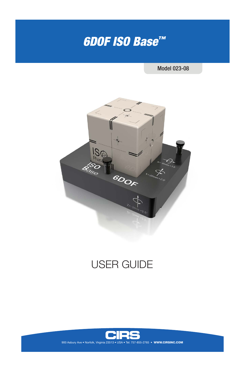# *6DOF ISO Base™*

Model 023-08



## USER GUIDE

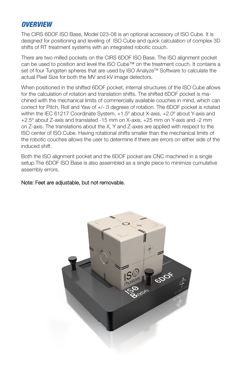## *OVERVIEW*

The CIRS 6DOF ISO Base, Model 023-08 is an optional accessory of ISO Cube. It is designed for positioning and leveling of ISO Cube and quick calculation of complex 3D shifts of RT treatment systems with an integrated robotic couch.

There are two milled pockets on the CIRS 6DOF ISO Base. The ISO alignment pocket can be used to position and level the ISO Cube™ on the treatment couch. It contains a set of four Tungsten spheres that are used by ISO Analyze™ Software to calculate the actual Pixel Size for both the MV and kV image detectors.

When positioned in the shifted 6DOF pocket, internal structures of the ISO Cube allows for the calculation of rotation and translation shifts. The shifted 6DOF pocket is machined with the mechanical limits of commercially available couches in mind, which can correct for Pitch, Roll and Yaw of +/- 3 degrees of rotation. The 6DOF pocket is rotated within the IEC 61217 Coordinate System, +1.5º about X-axis, +2.0º about Y-axis and +2.5º about Z-axis and translated -15 mm on X-axis, +25 mm on Y-axis and -2 mm on Z-axis. The translations about the X, Y and Z-axes are applied with respect to the ISO center of ISO Cube. Having rotational shifts smaller than the mechanical limits of the robotic couches allows the user to determine if there are errors on either side of the induced shift.

Both the ISO alignment pocket and the 6DOF pocket are CNC machined in a single setup.The 6DOF ISO Base is also assembled as a single piece to minimize cumulative assembly errors.

#### Note: Feet are adjustable, but not removable.

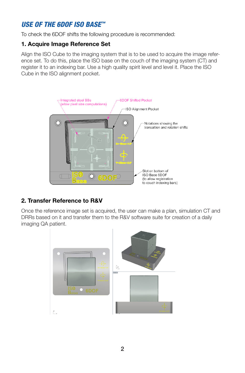## *USE OF THE 6DOF ISO BASE™*

To check the 6DOF shifts the following procedure is recommended:

#### **1. Acquire Image Reference Set**

Align the ISO Cube to the imaging system that is to be used to acquire the image reference set. To do this, place the ISO base on the couch of the imaging system (CT) and register it to an indexing bar. Use a high quality spirit level and level it. Place the ISO Cube in the ISO alignment pocket.



## **2. Transfer Reference to R&V**

Once the reference image set is acquired, the user can make a plan, simulation CT and DRRs based on it and transfer them to the R&V software suite for creation of a daily imaging QA patient.

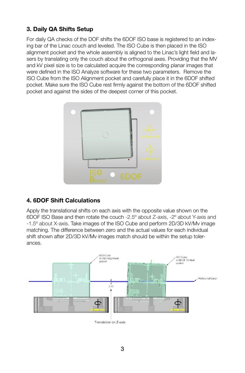## **3. Daily QA Shifts Setup**

For daily QA checks of the DOF shifts the 6DOF ISO base is registered to an indexing bar of the Linac couch and leveled. The ISO Cube is then placed in the ISO alignment pocket and the whole assembly is aligned to the Linac's light field and lasers by translating only the couch about the orthogonal axes. Providing that the MV and kV pixel size is to be calculated acquire the corresponding planar images that were defined in the ISO Analyze software for these two parameters. Remove the ISO Cube from the ISO Alignment pocket and carefully place it in the 6DOF shifted pocket. Make sure the ISO Cube rest firmly against the bottom of the 6DOF shifted pocket and against the sides of the deepest corner of this pocket.



## **4. 6DOF Shift Calculations**

Apply the translational shifts on each axis with the opposite value shown on the 6DOF ISO Base and then rotate the couch -2.5º about Z-axis, -2º about Y-axis and -1.5º about X-axis. Take images of the ISO Cube and perform 2D/3D kV/Mv image matching. The difference between zero and the actual values for each individual shift shown after 2D/3D kV/Mv images match should be within the setup tolerances.



Translation on Z-axis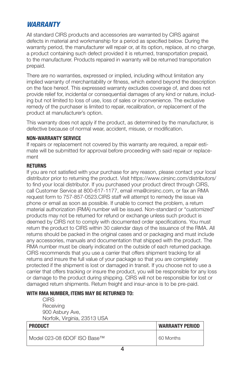## *WARRANTY*

All standard CIRS products and accessories are warranted by CIRS against defects in material and workmanship for a period as specified below. During the warranty period, the manufacturer will repair or, at its option, replace, at no charge, a product containing such defect provided it is returned, transportation prepaid, to the manufacturer. Products repaired in warranty will be returned transportation prepaid.

There are no warranties, expressed or implied, including without limitation any implied warranty of merchantability or fitness, which extend beyond the description on the face hereof. This expressed warranty excludes coverage of, and does not provide relief for, incidental or consequential damages of any kind or nature, including but not limited to loss of use, loss of sales or inconvenience. The exclusive remedy of the purchaser is limited to repair, recalibration, or replacement of the product at manufacturer's option.

This warranty does not apply if the product, as determined by the manufacturer, is defective because of normal wear, accident, misuse, or modification.

#### **NON-WARRANTY SERVICE**

If repairs or replacement not covered by this warranty are required, a repair estimate will be submitted for approval before proceeding with said repair or replacement

#### **RETURNS**

If you are not satisfied with your purchase for any reason, please contact your local distributor prior to returning the product. Visit https://www.cirsinc.com/distributors/ to find your local distributor. If you purchased your product direct through CIRS, call Customer Service at 800-617-1177, email rma@cirsinc.com, or fax an RMA request form to 757-857-0523.CIRS staff will attempt to remedy the issue via phone or email as soon as possible. If unable to correct the problem, a return material authorization (RMA) number will be issued. Non-standard or "customized" products may not be returned for refund or exchange unless such product is deemed by CIRS not to comply with documented order specifications. You must return the product to CIRS within 30 calendar days of the issuance of the RMA. All returns should be packed in the original cases and or packaging and must include any accessories, manuals and documentation that shipped with the product. The RMA number must be clearly indicated on the outside of each returned package. CIRS recommends that you use a carrier that offers shipment tracking for all returns and insure the full value of your package so that you are completely protected if the shipment is lost or damaged in transit. If you choose not to use a carrier that offers tracking or insure the product, you will be responsible for any loss or damage to the product during shipping. CIRS will not be responsible for lost or damaged return shipments. Return freight and insur-ance is to be pre-paid.

#### **WITH RMA NUMBER, ITEMS MAY BE RETURNED TO:**

**CIRS Receiving** 900 Asbury Ave, Norfolk, Virginia, 23513 USA

| <b>PRODUCT</b>              | <b>WARRANTY PERIOD</b> |
|-----------------------------|------------------------|
| Model 023-08 6DOF ISO Base™ | 60 Months              |